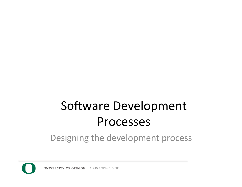# Software Development Processes

#### Designing the development process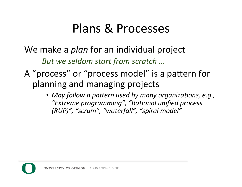### Plans & Processes

#### We make a *plan* for an individual project

*But* we seldom start from scratch ...

### A "process" or "process model" is a pattern for planning and managing projects

• May follow a pattern used by many organizations, e.g., "Extreme programming", "Rational unified process *(RUP)", "scrum", "waterfall", "spiral model"*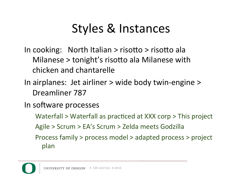# Styles & Instances

- In cooking: North Italian  $>$  risotto  $>$  risotto ala Milanese  $>$  tonight's risotto ala Milanese with chicken and chantarelle
- In airplanes: Jet airliner > wide body twin-engine > Dreamliner 787
- In software processes
	- Waterfall  $>$  Waterfall as practiced at XXX corp  $>$  This project
	- Agile > Scrum > EA's Scrum > Zelda meets Godzilla
	- Process family > process model > adapted process > project plan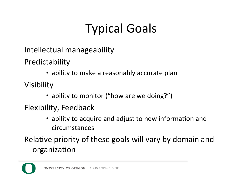# Typical Goals

Intellectual manageability

Predictability 

• ability to make a reasonably accurate plan

Visibility 

• ability to monitor ("how are we doing?")

Flexibility, Feedback

• ability to acquire and adjust to new information and circumstances 

Relative priority of these goals will vary by domain and organization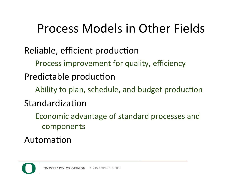### Process Models in Other Fields

Reliable, efficient production

Process improvement for quality, efficiency

Predictable production

Ability to plan, schedule, and budget production

Standardization

Economic advantage of standard processes and components 

Automation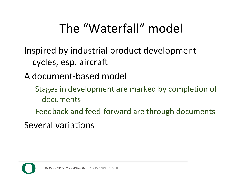### The "Waterfall" model

- Inspired by industrial product development cycles, esp. aircraft
- A document-based model
	- Stages in development are marked by completion of documents
	- Feedback and feed-forward are through documents
- Several variations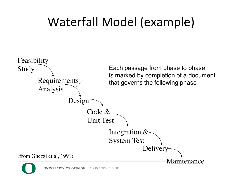# Waterfall Model (example)

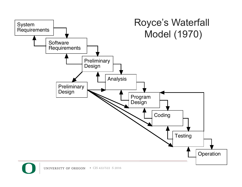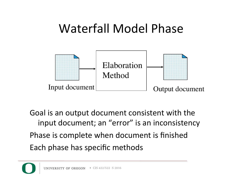### Waterfall Model Phase



Goal is an output document consistent with the input document; an "error" is an inconsistency Phase is complete when document is finished Each phase has specific methods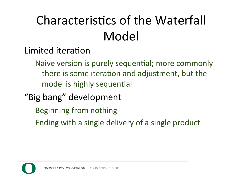# Characteristics of the Waterfall Model

- Limited iteration
	- Naive version is purely sequential; more commonly there is some iteration and adjustment, but the model is highly sequential
- "Big bang" development
	- Beginning from nothing
	- Ending with a single delivery of a single product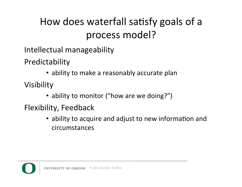### How does waterfall satisfy goals of a process model?

Intellectual manageability

Predictability 

• ability to make a reasonably accurate plan

Visibility 

• ability to monitor ("how are we doing?")

Flexibility, Feedback

• ability to acquire and adjust to new information and circumstances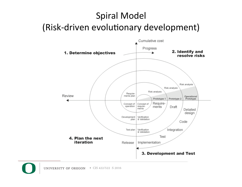### **Spiral Model** (Risk-driven evolutionary development)

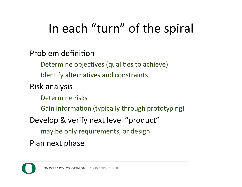### In each "turn" of the spiral

#### Problem definition

Determine objectives (qualities to achieve)

Identify alternatives and constraints

Risk analysis 

Determine risks

Gain information (typically through prototyping)

Develop & verify next level "product"

may be only requirements, or design

Plan next phase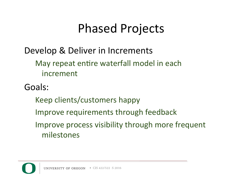### Phased Projects

### Develop & Deliver in Increments

May repeat entire waterfall model in each increment 

Goals: 

- Keep clients/customers happy
- Improve requirements through feedback
- Improve process visibility through more frequent milestones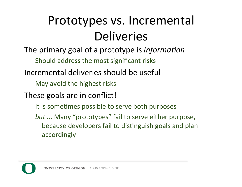# Prototypes vs. Incremental Deliveries

The primary goal of a prototype is *information* 

Should address the most significant risks

- Incremental deliveries should be useful
	- May avoid the highest risks

These goals are in conflict!

- It is sometimes possible to serve both purposes
- *but* ... Many "prototypes" fail to serve either purpose, because developers fail to distinguish goals and plan accordingly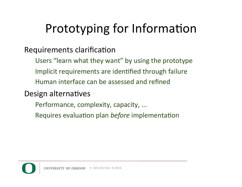# Prototyping for Information

#### Requirements clarification

Users "learn what they want" by using the prototype Implicit requirements are identified through failure Human interface can be assessed and refined

#### Design alternatives

- Performance, complexity, capacity, ...
- Requires evaluation plan *before* implementation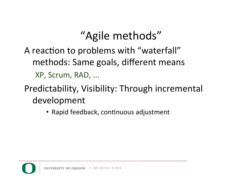### "Agile methods"

### A reaction to problems with "waterfall" methods: Same goals, different means XP, Scrum, RAD, ...

### Predictability, Visibility: Through incremental development

• Rapid feedback, continuous adjustment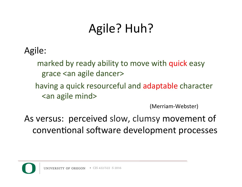# Agile? Huh?

### Agile:

marked by ready ability to move with quick easy grace <an agile dancer>

having a quick resourceful and adaptable character <an agile mind>

 (Merriam-Webster) 

As versus: perceived slow, clumsy movement of conventional software development processes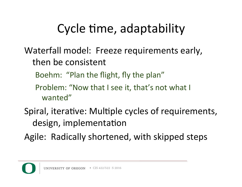# Cycle time, adaptability

- Waterfall model: Freeze requirements early, then be consistent
	- Boehm: "Plan the flight, fly the plan"
	- Problem: "Now that I see it, that's not what I wanted"
- Spiral, iterative: Multiple cycles of requirements, design, implementation
- Agile: Radically shortened, with skipped steps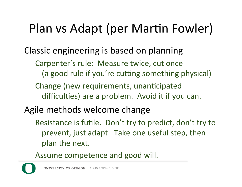### Plan vs Adapt (per Martin Fowler)

Classic engineering is based on planning

- Carpenter's rule: Measure twice, cut once (a good rule if you're cutting something physical)
- Change (new requirements, unanticipated difficulties) are a problem. Avoid it if you can.
- Agile methods welcome change
	- Resistance is futile. Don't try to predict, don't try to prevent, just adapt. Take one useful step, then plan the next.
	- Assume competence and good will.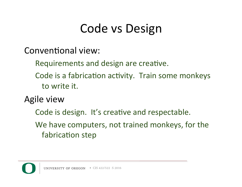### Code vs Design

Conventional view:

Requirements and design are creative.

- Code is a fabrication activity. Train some monkeys to write it.
- Agile view
	- Code is design. It's creative and respectable.
	- We have computers, not trained monkeys, for the fabrication step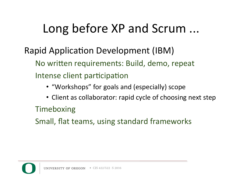### Long before XP and Scrum ...

### Rapid Application Development (IBM) No written requirements: Build, demo, repeat Intense client participation

- "Workshops" for goals and (especially) scope
- Client as collaborator: rapid cycle of choosing next step

#### Timeboxing

Small, flat teams, using standard frameworks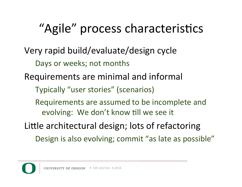# "Agile" process characteristics

- Very rapid build/evaluate/design cycle Days or weeks; not months
- Requirements are minimal and informal
	- Typically "user stories" (scenarios)
	- Requirements are assumed to be incomplete and evolving: We don't know till we see it
- Little architectural design; lots of refactoring
	- Design is also evolving; commit "as late as possible"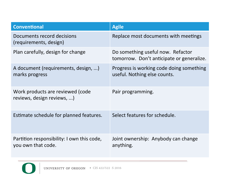| <b>Conventional</b>                                              | <b>Agile</b>                                                                   |
|------------------------------------------------------------------|--------------------------------------------------------------------------------|
| Documents record decisions<br>(requirements, design)             | Replace most documents with meetings                                           |
| Plan carefully, design for change                                | Do something useful now. Refactor<br>tomorrow. Don't anticipate or generalize. |
| A document (requirements, design, )<br>marks progress            | Progress is working code doing something<br>useful. Nothing else counts.       |
| Work products are reviewed (code<br>reviews, design reviews, )   | Pair programming.                                                              |
| Estimate schedule for planned features.                          | Select features for schedule.                                                  |
| Partition responsibility: I own this code,<br>you own that code. | Joint ownership: Anybody can change<br>anything.                               |
|                                                                  |                                                                                |

 $\overline{\mathbf{O}}$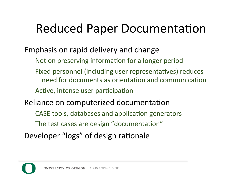### Reduced Paper Documentation

- Emphasis on rapid delivery and change
	- Not on preserving information for a longer period
	- Fixed personnel (including user representatives) reduces need for documents as orientation and communication
	- Active, intense user participation
- Reliance on computerized documentation
	- CASE tools, databases and application generators
	- The test cases are design "documentation"
- Developer "logs" of design rationale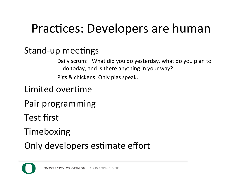### Practices: Developers are human

### Stand-up meetings

Daily scrum: What did you do yesterday, what do you plan to do today, and is there anything in your way? Pigs & chickens: Only pigs speak.

### Limited overtime

- Pair programming
- Test first
- Timeboxing
- Only developers estimate effort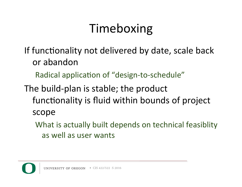### Timeboxing

- If functionality not delivered by date, scale back or abandon
	- Radical application of "design-to-schedule"
- The build-plan is stable; the product functionality is fluid within bounds of project scope
	- What is actually built depends on technical feasiblity as well as user wants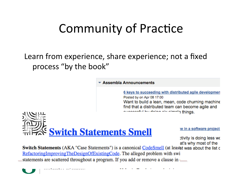### Community of Practice

#### Learn from experience, share experience; not a fixed process "by the book"

#### ▼ Assembla Announcements

6 keys to succeeding with distributed agile developmen Posted by on Apr 08 17:00 Want to build a lean, mean, code churning machine find that a distributed team can become agile and things. This chains with the processing



te in a software project

ctivity is doing less wo at's why most of the

**Switch Statements** (AKA "Case Statements") is a canonical CodeSmell (at leaset was about the list of RefactoringImprovingTheDesignOfExistingCode. The alleged problem with swi statements are scattered throughout a program. If you add or remove a clause in

• CIS 422/522 S 2016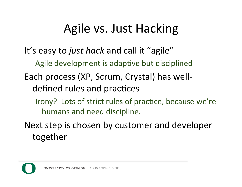### Agile vs. Just Hacking

It's easy to *just hack* and call it "agile" Agile development is adaptive but disciplined Each process (XP, Scrum, Crystal) has welldefined rules and practices

Irony? Lots of strict rules of practice, because we're humans and need discipline.

Next step is chosen by customer and developer together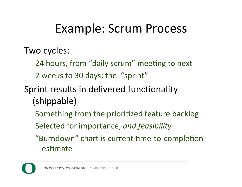### Example: Scrum Process

Two cycles:

- 24 hours, from "daily scrum" meeting to next
- 2 weeks to 30 days: the "sprint"
- Sprint results in delivered functionality (shippable)
	- Something from the prioritized feature backlog
	- Selected for importance, and feasibility
	- "Burndown" chart is current time-to-completion estimate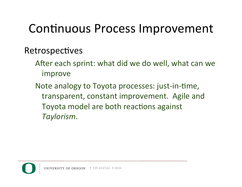### Continuous Process Improvement

#### Retrospectives

- After each sprint: what did we do well, what can we improve
- Note analogy to Toyota processes: just-in-time, transparent, constant improvement. Agile and Toyota model are both reactions against *Taylorism*.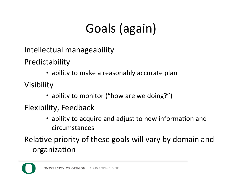# Goals (again)

Intellectual manageability

Predictability 

• ability to make a reasonably accurate plan

Visibility 

• ability to monitor ("how are we doing?")

Flexibility, Feedback

• ability to acquire and adjust to new information and circumstances 

Relative priority of these goals will vary by domain and organization